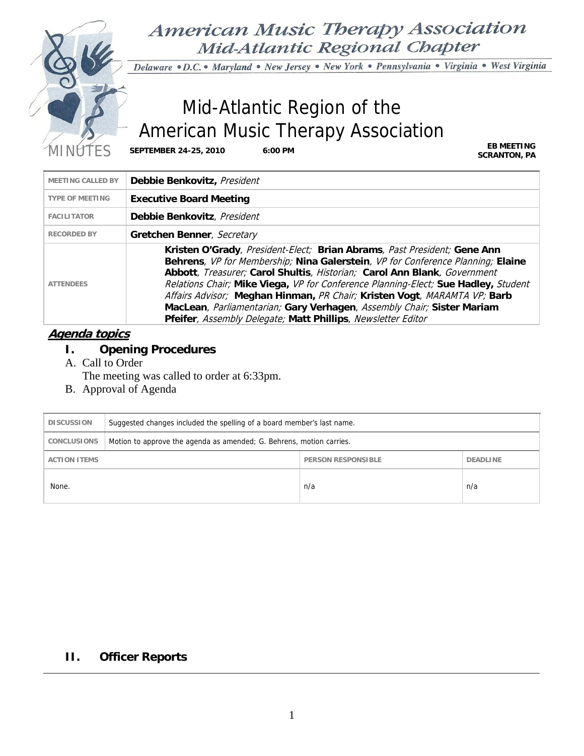

**American Music Therapy Association** Mid-Atlantic Regional Chapter

Delaware · D.C. · Maryland · New Jersey · New York · Pennsylvania · Virginia · West Virginia

# Mid-Atlantic Region of the American Music Therapy Association

MINUTES **SEPTEMBER 24-25, 2010 6:00 PM EB MEETING**

**SCRANTON, PA**

| MEETING CALLED BY      | Debbie Benkovitz, President                                                                                                                                                                                                                                                                                                                                                                                                                                                                                                                         |
|------------------------|-----------------------------------------------------------------------------------------------------------------------------------------------------------------------------------------------------------------------------------------------------------------------------------------------------------------------------------------------------------------------------------------------------------------------------------------------------------------------------------------------------------------------------------------------------|
| <b>TYPE OF MEETING</b> | <b>Executive Board Meeting</b>                                                                                                                                                                                                                                                                                                                                                                                                                                                                                                                      |
| <b>FACILITATOR</b>     | Debbie Benkovitz, President                                                                                                                                                                                                                                                                                                                                                                                                                                                                                                                         |
| <b>RECORDED BY</b>     | Gretchen Benner, Secretary                                                                                                                                                                                                                                                                                                                                                                                                                                                                                                                          |
| <b>ATTENDEES</b>       | Kristen O'Grady, President-Elect; Brian Abrams, Past President; Gene Ann<br>Behrens, VP for Membership; Nina Galerstein, VP for Conference Planning; Elaine<br>Abbott, Treasurer; Carol Shultis, Historian; Carol Ann Blank, Government<br>Relations Chair; Mike Viega, VP for Conference Planning-Elect; Sue Hadley, Student<br>Affairs Advisor; Meghan Hinman, PR Chair; Kristen Vogt, MARAMTA VP; Barb<br>MacLean, Parliamentarian; Gary Verhagen, Assembly Chair; Sister Mariam<br>Pfeifer, Assembly Delegate; Matt Phillips, Newsletter Editor |

# **Agenda topics**

- **I. Opening Procedures**
- A. Call to Order
	- The meeting was called to order at 6:33pm.
- B. Approval of Agenda

| <b>DISCUSSION</b>                                                   | Suggested changes included the spelling of a board member's last name. |     |     |
|---------------------------------------------------------------------|------------------------------------------------------------------------|-----|-----|
| <b>CONCLUSIONS</b>                                                  | Motion to approve the agenda as amended; G. Behrens, motion carries.   |     |     |
| <b>DEADLINE</b><br><b>ACTION ITEMS</b><br><b>PERSON RESPONSIBLE</b> |                                                                        |     |     |
| None.                                                               |                                                                        | n/a | n/a |

# **II. Officer Reports**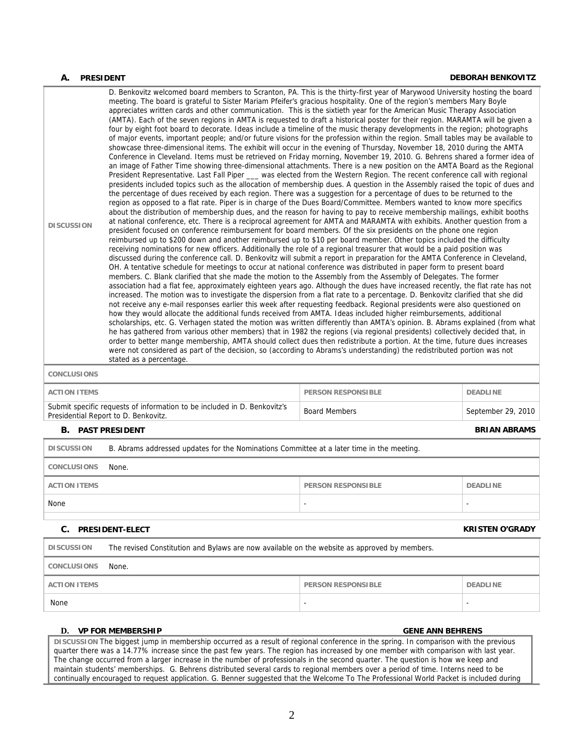#### **A. PRESIDENT DEBORAH BENKOVITZ**

| <b>DISCUSSION</b>  | D. Benkovitz welcomed board members to Scranton, PA. This is the thirty-first year of Marywood University hosting the board<br>meeting. The board is grateful to Sister Mariam Pfeifer's gracious hospitality. One of the region's members Mary Boyle<br>appreciates written cards and other communication. This is the sixtieth year for the American Music Therapy Association<br>(AMTA). Each of the seven regions in AMTA is requested to draft a historical poster for their region. MARAMTA will be given a<br>four by eight foot board to decorate. Ideas include a timeline of the music therapy developments in the region; photographs<br>of major events, important people; and/or future visions for the profession within the region. Small tables may be available to<br>showcase three-dimensional items. The exhibit will occur in the evening of Thursday, November 18, 2010 during the AMTA<br>Conference in Cleveland. Items must be retrieved on Friday morning, November 19, 2010. G. Behrens shared a former idea of<br>an image of Father Time showing three-dimensional attachments. There is a new position on the AMTA Board as the Regional<br>President Representative. Last Fall Piper __ was elected from the Western Region. The recent conference call with regional<br>presidents included topics such as the allocation of membership dues. A question in the Assembly raised the topic of dues and<br>the percentage of dues received by each region. There was a suggestion for a percentage of dues to be returned to the<br>region as opposed to a flat rate. Piper is in charge of the Dues Board/Committee. Members wanted to know more specifics<br>about the distribution of membership dues, and the reason for having to pay to receive membership mailings, exhibit booths<br>at national conference, etc. There is a reciprocal agreement for AMTA and MARAMTA with exhibits. Another question from a<br>president focused on conference reimbursement for board members. Of the six presidents on the phone one region<br>reimbursed up to \$200 down and another reimbursed up to \$10 per board member. Other topics included the difficulty<br>receiving nominations for new officers. Additionally the role of a regional treasurer that would be a paid position was<br>discussed during the conference call. D. Benkovitz will submit a report in preparation for the AMTA Conference in Cleveland,<br>OH. A tentative schedule for meetings to occur at national conference was distributed in paper form to present board<br>members. C. Blank clarified that she made the motion to the Assembly from the Assembly of Delegates. The former<br>association had a flat fee, approximately eighteen years ago. Although the dues have increased recently, the flat rate has not<br>increased. The motion was to investigate the dispersion from a flat rate to a percentage. D. Benkovitz clarified that she did<br>not receive any e-mail responses earlier this week after requesting feedback. Regional presidents were also questioned on<br>how they would allocate the additional funds received from AMTA. Ideas included higher reimbursements, additional<br>scholarships, etc. G. Verhagen stated the motion was written differently than AMTA's opinion. B. Abrams explained (from what<br>he has gathered from various other members) that in 1982 the regions (via regional presidents) collectively decided that, in<br>order to better mange membership, AMTA should collect dues then redistribute a portion. At the time, future dues increases<br>were not considered as part of the decision, so (according to Abrams's understanding) the redistributed portion was not<br>stated as a percentage. |
|--------------------|------------------------------------------------------------------------------------------------------------------------------------------------------------------------------------------------------------------------------------------------------------------------------------------------------------------------------------------------------------------------------------------------------------------------------------------------------------------------------------------------------------------------------------------------------------------------------------------------------------------------------------------------------------------------------------------------------------------------------------------------------------------------------------------------------------------------------------------------------------------------------------------------------------------------------------------------------------------------------------------------------------------------------------------------------------------------------------------------------------------------------------------------------------------------------------------------------------------------------------------------------------------------------------------------------------------------------------------------------------------------------------------------------------------------------------------------------------------------------------------------------------------------------------------------------------------------------------------------------------------------------------------------------------------------------------------------------------------------------------------------------------------------------------------------------------------------------------------------------------------------------------------------------------------------------------------------------------------------------------------------------------------------------------------------------------------------------------------------------------------------------------------------------------------------------------------------------------------------------------------------------------------------------------------------------------------------------------------------------------------------------------------------------------------------------------------------------------------------------------------------------------------------------------------------------------------------------------------------------------------------------------------------------------------------------------------------------------------------------------------------------------------------------------------------------------------------------------------------------------------------------------------------------------------------------------------------------------------------------------------------------------------------------------------------------------------------------------------------------------------------------------------------------------------------------------------------------------------------------------------------------------------------------------------------------------------------------------------------------------------------------------------------------------------------------------------------------------------------------------------------------------------------------------------------------------------------------------------------------------------------------------------------------------------------------------------------------------------------------------------------------------------------------|
| <b>CONCLUSIONS</b> |                                                                                                                                                                                                                                                                                                                                                                                                                                                                                                                                                                                                                                                                                                                                                                                                                                                                                                                                                                                                                                                                                                                                                                                                                                                                                                                                                                                                                                                                                                                                                                                                                                                                                                                                                                                                                                                                                                                                                                                                                                                                                                                                                                                                                                                                                                                                                                                                                                                                                                                                                                                                                                                                                                                                                                                                                                                                                                                                                                                                                                                                                                                                                                                                                                                                                                                                                                                                                                                                                                                                                                                                                                                                                                                                                                              |

| ACTION ITEMS                                                                                                     | <b>PERSON RESPONSIBLE</b> | <b>DEADLINE</b>    |
|------------------------------------------------------------------------------------------------------------------|---------------------------|--------------------|
| Submit specific requests of information to be included in D. Benkovitz's<br>Presidential Report to D. Benkovitz. | <b>Board Members</b>      | September 29, 2010 |

### **B.** PAST PRESIDENT **BRIAN ABRAMS**

| <b>DISCUSSION</b>   | B. Abrams addressed updates for the Nominations Committee at a later time in the meeting. |                           |                 |
|---------------------|-------------------------------------------------------------------------------------------|---------------------------|-----------------|
| <b>CONCLUSIONS</b>  | None.                                                                                     |                           |                 |
| <b>ACTION ITEMS</b> |                                                                                           | <b>PERSON RESPONSIBLE</b> | <b>DEADLINE</b> |
| None                |                                                                                           | -                         |                 |

#### **C. PRESIDENT-ELECT KRISTEN O'GRADY**

| <b>DISCUSSION</b>   | The revised Constitution and Bylaws are now available on the website as approved by members. |                           |                 |
|---------------------|----------------------------------------------------------------------------------------------|---------------------------|-----------------|
| <b>CONCLUSIONS</b>  | None.                                                                                        |                           |                 |
| <b>ACTION ITEMS</b> |                                                                                              | <b>PERSON RESPONSIBLE</b> | <b>DEADLINE</b> |
| None                |                                                                                              |                           |                 |

### **D. VP FOR MEMBERSHIP GENE ANN BEHRENS**

**DISCUSSION** The biggest jump in membership occurred as a result of regional conference in the spring. In comparison with the previous quarter there was a 14.77% increase since the past few years. The region has increased by one member with comparison with last year. The change occurred from a larger increase in the number of professionals in the second quarter. The question is how we keep and maintain students' memberships. G. Behrens distributed several cards to regional members over a period of time. Interns need to be continually encouraged to request application. G. Benner suggested that the Welcome To The Professional World Packet is included during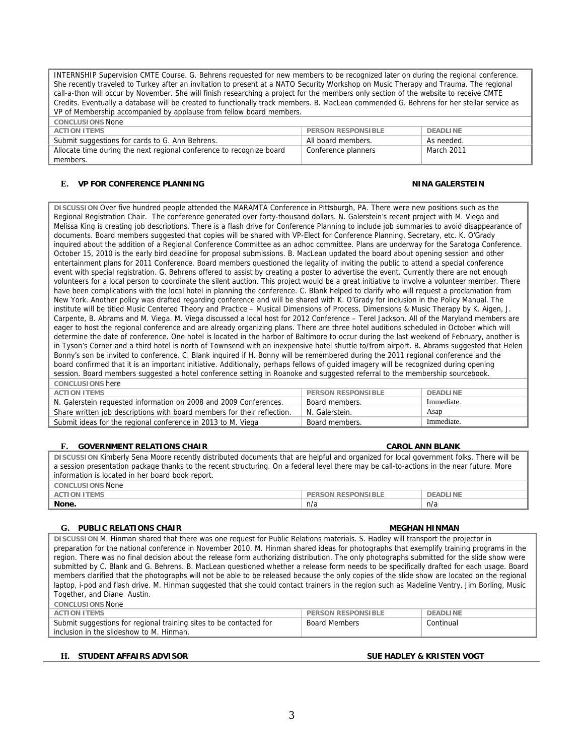INTERNSHIP Supervision CMTE Course. G. Behrens requested for new members to be recognized later on during the regional conference. She recently traveled to Turkey after an invitation to present at a NATO Security Workshop on Music Therapy and Trauma. The regional call-a-thon will occur by November. She will finish researching a project for the members only section of the website to receive CMTE Credits. Eventually a database will be created to functionally track members. B. MacLean commended G. Behrens for her stellar service as VP of Membership accompanied by applause from fellow board members.

| <b>CONCLUSIONS None</b>                                              |                           |            |
|----------------------------------------------------------------------|---------------------------|------------|
| <b>ACTION ITEMS</b>                                                  | <b>PERSON RESPONSIBLE</b> | DEADLINE   |
| Submit suggestions for cards to G. Ann Behrens.                      | All board members.        | As needed. |
| Allocate time during the next regional conference to recognize board | Conference planners       | March 2011 |
| members.                                                             |                           |            |

#### **E. VP FOR CONFERENCE PLANNING NINA GALERSTEIN**

**DISCUSSION** Over five hundred people attended the MARAMTA Conference in Pittsburgh, PA. There were new positions such as the Regional Registration Chair. The conference generated over forty-thousand dollars. N. Galerstein's recent project with M. Viega and Melissa King is creating job descriptions. There is a flash drive for Conference Planning to include job summaries to avoid disappearance of documents. Board members suggested that copies will be shared with VP-Elect for Conference Planning, Secretary, etc. K. O'Grady inquired about the addition of a Regional Conference Committee as an adhoc committee. Plans are underway for the Saratoga Conference. October 15, 2010 is the early bird deadline for proposal submissions. B. MacLean updated the board about opening session and other entertainment plans for 2011 Conference. Board members questioned the legality of inviting the public to attend a special conference event with special registration. G. Behrens offered to assist by creating a poster to advertise the event. Currently there are not enough volunteers for a local person to coordinate the silent auction. This project would be a great initiative to involve a volunteer member. There have been complications with the local hotel in planning the conference. C. Blank helped to clarify who will request a proclamation from New York. Another policy was drafted regarding conference and will be shared with K. O'Grady for inclusion in the Policy Manual. The institute will be titled Music Centered Theory and Practice – Musical Dimensions of Process, Dimensions & Music Therapy by K. Aigen, J. Carpente, B. Abrams and M. Viega. M. Viega discussed a local host for 2012 Conference – Terel Jackson. All of the Maryland members are eager to host the regional conference and are already organizing plans. There are three hotel auditions scheduled in October which will determine the date of conference. One hotel is located in the harbor of Baltimore to occur during the last weekend of February, another is in Tyson's Corner and a third hotel is north of Townsend with an inexpensive hotel shuttle to/from airport. B. Abrams suggested that Helen Bonny's son be invited to conference. C. Blank inquired if H. Bonny will be remembered during the 2011 regional conference and the board confirmed that it is an important initiative. Additionally, perhaps fellows of guided imagery will be recognized during opening session. Board members suggested a hotel conference setting in Roanoke and suggested referral to the membership sourcebook. **CONCLUSIONS** here

| <b>ACTION ITEMS</b>                                                     | <b>PERSON RESPONSIBLE</b> | <b>DEADLINE</b> |
|-------------------------------------------------------------------------|---------------------------|-----------------|
| N. Galerstein requested information on 2008 and 2009 Conferences.       | Board members.            | Immediate.      |
| Share written job descriptions with board members for their reflection. | N. Galerstein.            | Asap            |
| Submit ideas for the regional conference in 2013 to M. Viega            | Board members.            | Immediate.      |

#### **F.** GOVERNMENT RELATIONS CHAIR CAROL AND BLANK

**DISCUSSION** Kimberly Sena Moore recently distributed documents that are helpful and organized for local government folks. There will be a session presentation package thanks to the recent structuring. On a federal level there may be call-to-actions in the near future. More information is located in her board book report.

### **CONCLUSIONS** None **PERSON RESPONSIBLE DEADLINE None.** n/a n/a

#### **G.** PUBLIC RELATIONS CHAIR **MEGHAN HINMAN**

**DISCUSSION** M. Hinman shared that there was one request for Public Relations materials. S. Hadley will transport the projector in preparation for the national conference in November 2010. M. Hinman shared ideas for photographs that exemplify training programs in the region. There was no final decision about the release form authorizing distribution. The only photographs submitted for the slide show were submitted by C. Blank and G. Behrens. B. MacLean questioned whether a release form needs to be specifically drafted for each usage. Board members clarified that the photographs will not be able to be released because the only copies of the slide show are located on the regional laptop, i-pod and flash drive. M. Hinman suggested that she could contact trainers in the region such as Madeline Ventry, Jim Borling, Music Together, and Diane Austin.

| CONCLUSIONS None                                                   |                           |           |
|--------------------------------------------------------------------|---------------------------|-----------|
| ACTION ITEMS                                                       | <b>PERSON RESPONSIBLE</b> | DEADLINE  |
| Submit suggestions for regional training sites to be contacted for | <b>Board Members</b>      | Continual |
| inclusion in the slideshow to M. Hinman.                           |                           |           |

### **H. STUDENT AFFAIRS ADVISOR SUE HADLEY & KRISTEN VOGT**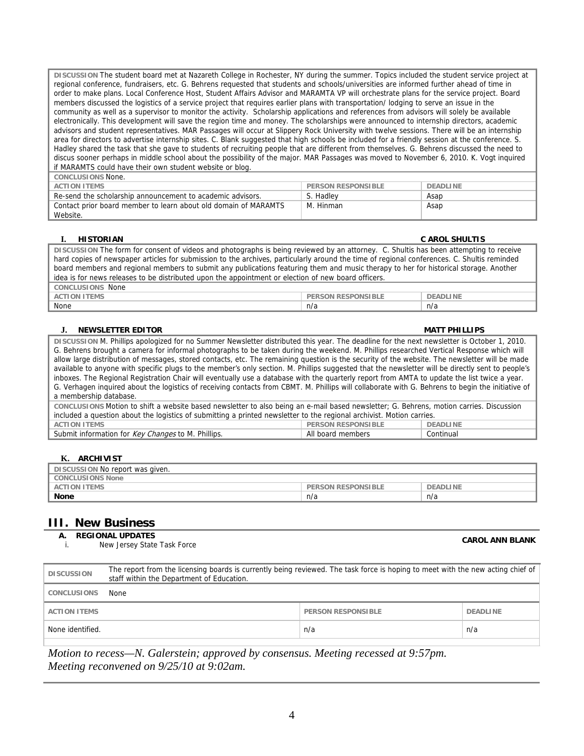**DISCUSSION** The student board met at Nazareth College in Rochester, NY during the summer. Topics included the student service project at regional conference, fundraisers, etc. G. Behrens requested that students and schools/universities are informed further ahead of time in order to make plans. Local Conference Host, Student Affairs Advisor and MARAMTA VP will orchestrate plans for the service project. Board members discussed the logistics of a service project that requires earlier plans with transportation/ lodging to serve an issue in the community as well as a supervisor to monitor the activity. Scholarship applications and references from advisors will solely be available electronically. This development will save the region time and money. The scholarships were announced to internship directors, academic advisors and student representatives. MAR Passages will occur at Slippery Rock University with twelve sessions. There will be an internship area for directors to advertise internship sites. C. Blank suggested that high schools be included for a friendly session at the conference. S. Hadley shared the task that she gave to students of recruiting people that are different from themselves. G. Behrens discussed the need to discus sooner perhaps in middle school about the possibility of the major. MAR Passages was moved to November 6, 2010. K. Vogt inquired if MARAMTS could have their own student website or blog.

| CONCLUSIONS None.                                               |                           |          |
|-----------------------------------------------------------------|---------------------------|----------|
| <b>ACTION ITEMS</b>                                             | <b>PERSON RESPONSIBLE</b> | DEADLINE |
| Re-send the scholarship announcement to academic advisors.      | S. Hadley                 | Asap     |
| Contact prior board member to learn about old domain of MARAMTS | M. Hinman                 | Asap     |
| Website.                                                        |                           |          |

| <b>HISTORIAN</b>                                                                                                                            | <b>C AROL SHULTIS</b>                        |  |
|---------------------------------------------------------------------------------------------------------------------------------------------|----------------------------------------------|--|
| DISCUSSION The form for consent of videos and photographs is being reviewed by an attorney. C. Shultis has been attempting to receive       |                                              |  |
| hard copies of newspaper articles for submission to the archives, particularly around the time of regional conferences. C. Shultis reminded |                                              |  |
| board members and regional members to submit any publications featuring them and music therapy to her for historical storage. Another       |                                              |  |
| idea is for news releases to be distributed upon the appointment or election of new board officers.                                         |                                              |  |
| <b>CONCLUSIONS None</b>                                                                                                                     |                                              |  |
| <b>ACTION ITEMS</b>                                                                                                                         | <b>PERSON RESPONSIBLE</b><br><b>DEADLINE</b> |  |
| None                                                                                                                                        | n/a<br>n/a                                   |  |
|                                                                                                                                             |                                              |  |

#### **J. NEWSLETTER EDITOR MATT PHILLIPS**

**DISCUSSION** M. Phillips apologized for no Summer Newsletter distributed this year. The deadline for the next newsletter is October 1, 2010. G. Behrens brought a camera for informal photographs to be taken during the weekend. M. Phillips researched Vertical Response which will allow large distribution of messages, stored contacts, etc. The remaining question is the security of the website. The newsletter will be made available to anyone with specific plugs to the member's only section. M. Phillips suggested that the newsletter will be directly sent to people's inboxes. The Regional Registration Chair will eventually use a database with the quarterly report from AMTA to update the list twice a year. G. Verhagen inquired about the logistics of receiving contacts from CBMT. M. Phillips will collaborate with G. Behrens to begin the initiative of a membership database. **CONCLUSIONS** Motion to shift a website based newsletter to also being an e-mail based newsletter; G. Behrens, motion carries. Discussion included a question about the logistics of submitting a printed newsletter to the regional archivist. Motion carries. **PERSON RESPONSIBLE DEADLINE** Submit information for Key Changes to M. Phillips. All board members Continual

#### **K. ARCHIVIST**

| DISCUSSION No report was given. |                           |                 |  |
|---------------------------------|---------------------------|-----------------|--|
| <b>CONCLUSIONS None</b>         |                           |                 |  |
| <b>ACTION ITEMS</b>             | <b>PERSON RESPONSIBLE</b> | <b>DEADLINE</b> |  |
| <b>None</b>                     | n/a                       | n/a             |  |

### **III. New Business**

### **A. REGIONAL UPDATES**

| יטורוס וט ואזוטוסוגרי            | <b>CAROL ANN BLANK</b> |
|----------------------------------|------------------------|
| New Jersey State Task Force<br>. |                        |

| <b>DISCUSSION</b>              | The report from the licensing boards is currently being reviewed. The task force is hoping to meet with the new acting chief of<br>staff within the Department of Education. |                           |                 |
|--------------------------------|------------------------------------------------------------------------------------------------------------------------------------------------------------------------------|---------------------------|-----------------|
| <b>CONCLUSIONS</b>             | None                                                                                                                                                                         |                           |                 |
| <b>ACTION ITEMS</b>            |                                                                                                                                                                              | <b>PERSON RESPONSIBLE</b> | <b>DEADLINE</b> |
| None identified.<br>n/a<br>n/a |                                                                                                                                                                              |                           |                 |

*Motion to recess—N. Galerstein; approved by consensus. Meeting recessed at 9:57pm. Meeting reconvened on 9/25/10 at 9:02am.*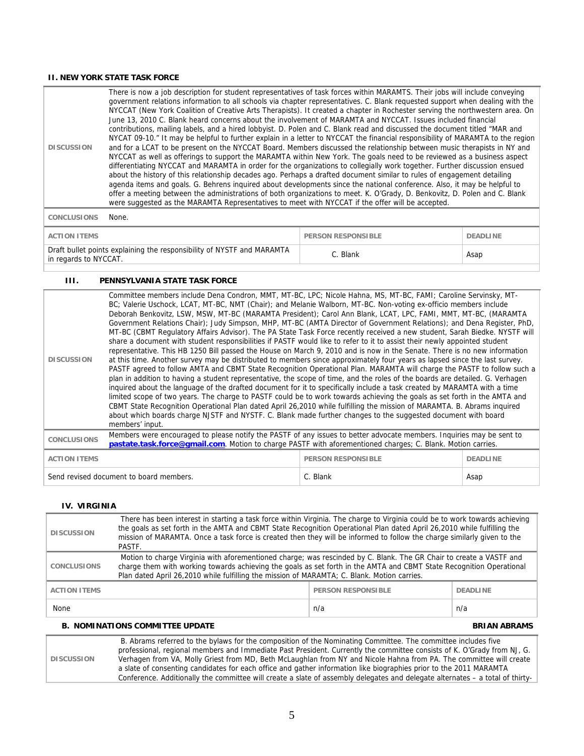#### **II. NEW YORK STATE TASK FORCE**

| <b>DISCUSSION</b> | There is now a job description for student representatives of task forces within MARAMTS. Their jobs will include conveying<br>government relations information to all schools via chapter representatives. C. Blank requested support when dealing with the<br>NYCCAT (New York Coalition of Creative Arts Therapists). It created a chapter in Rochester serving the northwestern area. On<br>June 13, 2010 C. Blank heard concerns about the involvement of MARAMTA and NYCCAT. Issues included financial<br>contributions, mailing labels, and a hired lobbyist. D. Polen and C. Blank read and discussed the document titled "MAR and<br>NYCAT 09-10." It may be helpful to further explain in a letter to NYCCAT the financial responsibility of MARAMTA to the region<br>and for a LCAT to be present on the NYCCAT Board. Members discussed the relationship between music therapists in NY and<br>NYCCAT as well as offerings to support the MARAMTA within New York. The goals need to be reviewed as a business aspect<br>differentiating NYCCAT and MARAMTA in order for the organizations to collegially work together. Further discussion ensued<br>about the history of this relationship decades ago. Perhaps a drafted document similar to rules of engagement detailing<br>agenda items and goals. G. Behrens inquired about developments since the national conference. Also, it may be helpful to<br>offer a meeting between the administrations of both organizations to meet. K. O'Grady, D. Benkovitz, D. Polen and C. Blank<br>were suggested as the MARAMTA Representatives to meet with NYCCAT if the offer will be accepted. |
|-------------------|---------------------------------------------------------------------------------------------------------------------------------------------------------------------------------------------------------------------------------------------------------------------------------------------------------------------------------------------------------------------------------------------------------------------------------------------------------------------------------------------------------------------------------------------------------------------------------------------------------------------------------------------------------------------------------------------------------------------------------------------------------------------------------------------------------------------------------------------------------------------------------------------------------------------------------------------------------------------------------------------------------------------------------------------------------------------------------------------------------------------------------------------------------------------------------------------------------------------------------------------------------------------------------------------------------------------------------------------------------------------------------------------------------------------------------------------------------------------------------------------------------------------------------------------------------------------------------------------------------------------------------------------------------|
|                   |                                                                                                                                                                                                                                                                                                                                                                                                                                                                                                                                                                                                                                                                                                                                                                                                                                                                                                                                                                                                                                                                                                                                                                                                                                                                                                                                                                                                                                                                                                                                                                                                                                                         |

**CONCLUSIONS** None.

| <b>ACTION ITEMS</b>                                                                             | <b>PERSON RESPONSIBLE</b> | DEADI INF |
|-------------------------------------------------------------------------------------------------|---------------------------|-----------|
| Draft bullet points explaining the responsibility of NYSTF and MARAMTA<br>in regards to NYCCAT. | C. Blank                  | Asap      |

#### **III. PENNSYLVANIA STATE TASK FORCE**

| <b>DISCUSSION</b>                       | Committee members include Dena Condron, MMT, MT-BC, LPC; Nicole Hahna, MS, MT-BC, FAMI; Caroline Servinsky, MT-<br>BC; Valerie Uschock, LCAT, MT-BC, NMT (Chair); and Melanie Walborn, MT-BC. Non-voting ex-officio members include<br>Deborah Benkovitz, LSW, MSW, MT-BC (MARAMTA President); Carol Ann Blank, LCAT, LPC, FAMI, MMT, MT-BC, (MARAMTA<br>Government Relations Chair); Judy Simpson, MHP, MT-BC (AMTA Director of Government Relations); and Dena Register, PhD,<br>MT-BC (CBMT Requiatory Affairs Advisor). The PA State Task Force recently received a new student, Sarah Biedke. NYSTF will<br>share a document with student responsibilities if PASTF would like to refer to it to assist their newly appointed student<br>representative. This HB 1250 Bill passed the House on March 9, 2010 and is now in the Senate. There is no new information<br>at this time. Another survey may be distributed to members since approximately four years as lapsed since the last survey.<br>PASTF agreed to follow AMTA and CBMT State Recognition Operational Plan. MARAMTA will charge the PASTF to follow such a<br>plan in addition to having a student representative, the scope of time, and the roles of the boards are detailed. G. Verhagen<br>inquired about the language of the drafted document for it to specifically include a task created by MARAMTA with a time<br>limited scope of two years. The charge to PASTF could be to work towards achieving the goals as set forth in the AMTA and<br>CBMT State Recognition Operational Plan dated April 26,2010 while fulfilling the mission of MARAMTA. B. Abrams inquired<br>about which boards charge NJSTF and NYSTF. C. Blank made further changes to the suggested document with board<br>members' input. |                           |                 |
|-----------------------------------------|-------------------------------------------------------------------------------------------------------------------------------------------------------------------------------------------------------------------------------------------------------------------------------------------------------------------------------------------------------------------------------------------------------------------------------------------------------------------------------------------------------------------------------------------------------------------------------------------------------------------------------------------------------------------------------------------------------------------------------------------------------------------------------------------------------------------------------------------------------------------------------------------------------------------------------------------------------------------------------------------------------------------------------------------------------------------------------------------------------------------------------------------------------------------------------------------------------------------------------------------------------------------------------------------------------------------------------------------------------------------------------------------------------------------------------------------------------------------------------------------------------------------------------------------------------------------------------------------------------------------------------------------------------------------------------------------------------------------------------------------------------------------------------------------|---------------------------|-----------------|
| <b>CONCLUSIONS</b>                      | Members were encouraged to please notify the PASTF of any issues to better advocate members. Inquiries may be sent to<br>pastate.task.force@gmail.com. Motion to charge PASTF with aforementioned charges; C. Blank. Motion carries.                                                                                                                                                                                                                                                                                                                                                                                                                                                                                                                                                                                                                                                                                                                                                                                                                                                                                                                                                                                                                                                                                                                                                                                                                                                                                                                                                                                                                                                                                                                                                      |                           |                 |
| <b>ACTION ITEMS</b>                     |                                                                                                                                                                                                                                                                                                                                                                                                                                                                                                                                                                                                                                                                                                                                                                                                                                                                                                                                                                                                                                                                                                                                                                                                                                                                                                                                                                                                                                                                                                                                                                                                                                                                                                                                                                                           | <b>PERSON RESPONSIBLE</b> | <b>DEADLINE</b> |
| Send revised document to board members. |                                                                                                                                                                                                                                                                                                                                                                                                                                                                                                                                                                                                                                                                                                                                                                                                                                                                                                                                                                                                                                                                                                                                                                                                                                                                                                                                                                                                                                                                                                                                                                                                                                                                                                                                                                                           | C. Blank                  | Asap            |

#### **IV. VIRGINIA**

| <b>DISCUSSION</b>                                                   | There has been interest in starting a task force within Virginia. The charge to Virginia could be to work towards achieving<br>the goals as set forth in the AMTA and CBMT State Recognition Operational Plan dated April 26,2010 while fulfilling the<br>mission of MARAMTA. Once a task force is created then they will be informed to follow the charge similarly given to the<br>PASTF. |     |     |
|---------------------------------------------------------------------|---------------------------------------------------------------------------------------------------------------------------------------------------------------------------------------------------------------------------------------------------------------------------------------------------------------------------------------------------------------------------------------------|-----|-----|
| <b>CONCLUSIONS</b>                                                  | Motion to charge Virginia with aforementioned charge; was rescinded by C. Blank. The GR Chair to create a VASTF and<br>charge them with working towards achieving the goals as set forth in the AMTA and CBMT State Recognition Operational<br>Plan dated April 26,2010 while fulfilling the mission of MARAMTA; C. Blank. Motion carries.                                                  |     |     |
| <b>PERSON RESPONSIBLE</b><br><b>ACTION ITEMS</b><br><b>DEADLINE</b> |                                                                                                                                                                                                                                                                                                                                                                                             |     |     |
| None                                                                |                                                                                                                                                                                                                                                                                                                                                                                             | n/a | n/a |
| <b>B. NOMINATIONS COMMITTEE UPDATE</b><br><b>BRIAN ABRAMS</b>       |                                                                                                                                                                                                                                                                                                                                                                                             |     |     |

#### **DISCUSSION**  B. Abrams referred to the bylaws for the composition of the Nominating Committee. The committee includes five professional, regional members and Immediate Past President. Currently the committee consists of K. O'Grady from NJ, G. Verhagen from VA, Molly Griest from MD, Beth McLaughlan from NY and Nicole Hahna from PA. The committee will create a slate of consenting candidates for each office and gather information like biographies prior to the 2011 MARAMTA Conference. Additionally the committee will create a slate of assembly delegates and delegate alternates – a total of thirty-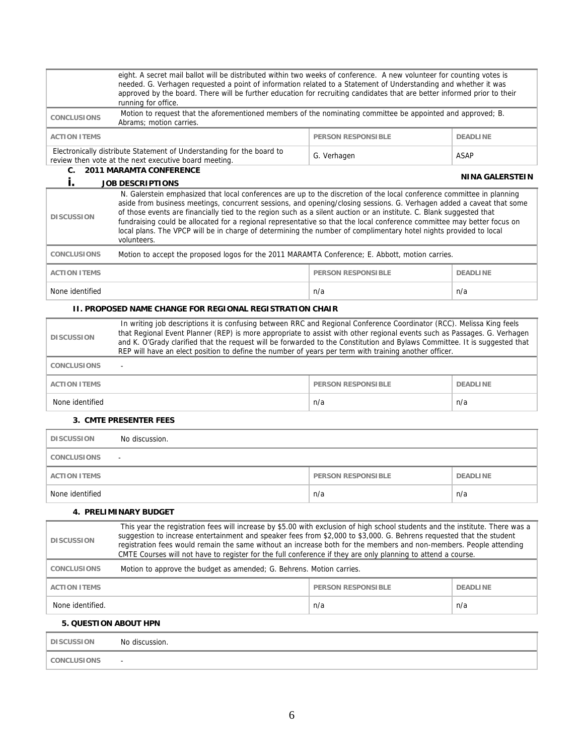|                                                                                            | eight. A secret mail ballot will be distributed within two weeks of conference. A new volunteer for counting votes is<br>needed. G. Verhagen requested a point of information related to a Statement of Understanding and whether it was<br>approved by the board. There will be further education for recruiting candidates that are better informed prior to their<br>running for office.                                                                                                                                                                                                                                                                             |                           |                 |  |
|--------------------------------------------------------------------------------------------|-------------------------------------------------------------------------------------------------------------------------------------------------------------------------------------------------------------------------------------------------------------------------------------------------------------------------------------------------------------------------------------------------------------------------------------------------------------------------------------------------------------------------------------------------------------------------------------------------------------------------------------------------------------------------|---------------------------|-----------------|--|
| <b>CONCLUSIONS</b>                                                                         | Motion to request that the aforementioned members of the nominating committee be appointed and approved; B.<br>Abrams; motion carries.                                                                                                                                                                                                                                                                                                                                                                                                                                                                                                                                  |                           |                 |  |
| <b>ACTION ITEMS</b>                                                                        |                                                                                                                                                                                                                                                                                                                                                                                                                                                                                                                                                                                                                                                                         | <b>PERSON RESPONSIBLE</b> | <b>DEADLINE</b> |  |
|                                                                                            | Electronically distribute Statement of Understanding for the board to<br>review then vote at the next executive board meeting.                                                                                                                                                                                                                                                                                                                                                                                                                                                                                                                                          | G. Verhagen               | <b>ASAP</b>     |  |
| C.                                                                                         | <b>2011 MARAMTA CONFERENCE</b>                                                                                                                                                                                                                                                                                                                                                                                                                                                                                                                                                                                                                                          |                           | NINA GALERSTEIN |  |
| <b>DISCUSSION</b>                                                                          | İ.<br><b>JOB DESCRIPTIONS</b><br>N. Galerstein emphasized that local conferences are up to the discretion of the local conference committee in planning<br>aside from business meetings, concurrent sessions, and opening/closing sessions. G. Verhagen added a caveat that some<br>of those events are financially tied to the region such as a silent auction or an institute. C. Blank suggested that<br>fundraising could be allocated for a regional representative so that the local conference committee may better focus on<br>local plans. The VPCP will be in charge of determining the number of complimentary hotel nights provided to local<br>volunteers. |                           |                 |  |
| <b>CONCLUSIONS</b>                                                                         | Motion to accept the proposed logos for the 2011 MARAMTA Conference; E. Abbott, motion carries.                                                                                                                                                                                                                                                                                                                                                                                                                                                                                                                                                                         |                           |                 |  |
| <b>ACTION ITEMS</b>                                                                        |                                                                                                                                                                                                                                                                                                                                                                                                                                                                                                                                                                                                                                                                         | <b>PERSON RESPONSIBLE</b> | <b>DEADLINE</b> |  |
| None identified                                                                            |                                                                                                                                                                                                                                                                                                                                                                                                                                                                                                                                                                                                                                                                         | n/a                       | n/a             |  |
|                                                                                            | <b>II. PROPOSED NAME CHANGE FOR REGIONAL REGISTRATION CHAIR</b>                                                                                                                                                                                                                                                                                                                                                                                                                                                                                                                                                                                                         |                           |                 |  |
| <b>DISCUSSION</b><br><b>CONCLUSIONS</b>                                                    | In writing job descriptions it is confusing between RRC and Regional Conference Coordinator (RCC). Melissa King feels<br>that Regional Event Planner (REP) is more appropriate to assist with other regional events such as Passages. G. Verhagen<br>and K. O'Grady clarified that the request will be forwarded to the Constitution and Bylaws Committee. It is suggested that<br>REP will have an elect position to define the number of years per term with training another officer.<br>$\omega$                                                                                                                                                                    |                           |                 |  |
| <b>ACTION ITEMS</b>                                                                        | <b>PERSON RESPONSIBLE</b><br><b>DEADLINE</b>                                                                                                                                                                                                                                                                                                                                                                                                                                                                                                                                                                                                                            |                           |                 |  |
| None identified                                                                            |                                                                                                                                                                                                                                                                                                                                                                                                                                                                                                                                                                                                                                                                         | n/a                       | n/a             |  |
|                                                                                            | <b>3. CMTE PRESENTER FEES</b>                                                                                                                                                                                                                                                                                                                                                                                                                                                                                                                                                                                                                                           |                           |                 |  |
| <b>DISCUSSION</b>                                                                          | No discussion.                                                                                                                                                                                                                                                                                                                                                                                                                                                                                                                                                                                                                                                          |                           |                 |  |
| <b>CONCLUSIONS</b>                                                                         |                                                                                                                                                                                                                                                                                                                                                                                                                                                                                                                                                                                                                                                                         |                           |                 |  |
| <b>ACTION ITEMS</b>                                                                        |                                                                                                                                                                                                                                                                                                                                                                                                                                                                                                                                                                                                                                                                         | <b>PERSON RESPONSIBLE</b> | <b>DEADLINE</b> |  |
| None identified                                                                            |                                                                                                                                                                                                                                                                                                                                                                                                                                                                                                                                                                                                                                                                         | n/a                       | n/a             |  |
|                                                                                            | 4. PRELIMINARY BUDGET                                                                                                                                                                                                                                                                                                                                                                                                                                                                                                                                                                                                                                                   |                           |                 |  |
| <b>DISCUSSION</b>                                                                          | This year the registration fees will increase by \$5.00 with exclusion of high school students and the institute. There was a<br>suggestion to increase entertainment and speaker fees from \$2,000 to \$3,000. G. Behrens requested that the student<br>registration fees would remain the same without an increase both for the members and non-members. People attending<br>CMTE Courses will not have to register for the full conference if they are only planning to attend a course.                                                                                                                                                                             |                           |                 |  |
| Motion to approve the budget as amended; G. Behrens. Motion carries.<br><b>CONCLUSIONS</b> |                                                                                                                                                                                                                                                                                                                                                                                                                                                                                                                                                                                                                                                                         |                           |                 |  |
| <b>ACTION ITEMS</b>                                                                        |                                                                                                                                                                                                                                                                                                                                                                                                                                                                                                                                                                                                                                                                         | <b>PERSON RESPONSIBLE</b> | <b>DEADLINE</b> |  |
| None identified.                                                                           |                                                                                                                                                                                                                                                                                                                                                                                                                                                                                                                                                                                                                                                                         | n/a                       | n/a             |  |
| <b>5. QUESTION ABOUT HPN</b>                                                               |                                                                                                                                                                                                                                                                                                                                                                                                                                                                                                                                                                                                                                                                         |                           |                 |  |
| <b>DISCUSSION</b>                                                                          | No discussion.                                                                                                                                                                                                                                                                                                                                                                                                                                                                                                                                                                                                                                                          |                           |                 |  |
| <b>CONCLUSIONS</b>                                                                         | $\blacksquare$                                                                                                                                                                                                                                                                                                                                                                                                                                                                                                                                                                                                                                                          |                           |                 |  |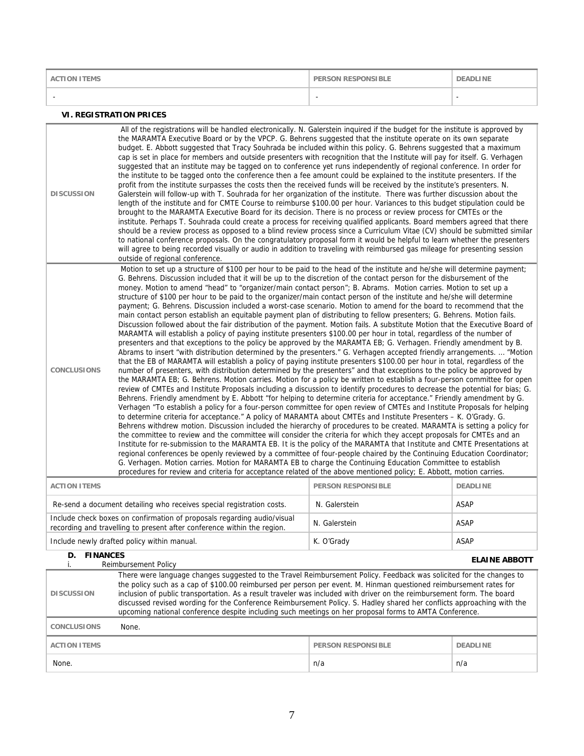| <b>ACTION ITEMS</b> | <b>PERSON RESPONSIBLE</b> | <b>DEADLINE</b> |
|---------------------|---------------------------|-----------------|
|                     | -                         |                 |

### **VI. REGISTRATION PRICES**

| <b>DISCUSSION</b>   | All of the registrations will be handled electronically. N. Galerstein inquired if the budget for the institute is approved by<br>the MARAMTA Executive Board or by the VPCP. G. Behrens suggested that the institute operate on its own separate<br>budget. E. Abbott suggested that Tracy Souhrada be included within this policy. G. Behrens suggested that a maximum<br>cap is set in place for members and outside presenters with recognition that the Institute will pay for itself. G. Verhagen<br>suggested that an institute may be tagged on to conference yet runs independently of regional conference. In order for<br>the institute to be tagged onto the conference then a fee amount could be explained to the institute presenters. If the<br>profit from the institute surpasses the costs then the received funds will be received by the institute's presenters. N.<br>Galerstein will follow-up with T. Souhrada for her organization of the institute. There was further discussion about the<br>length of the institute and for CMTE Course to reimburse \$100.00 per hour. Variances to this budget stipulation could be<br>brought to the MARAMTA Executive Board for its decision. There is no process or review process for CMTEs or the<br>institute. Perhaps T. Souhrada could create a process for receiving qualified applicants. Board members agreed that there<br>should be a review process as opposed to a blind review process since a Curriculum Vitae (CV) should be submitted similar<br>to national conference proposals. On the congratulatory proposal form it would be helpful to learn whether the presenters<br>outside of regional conference.                                                                                                                                                                                                                                                                                                                                                                                                                                                                                                                                                                                                                                                                                                                                                                                                                                                                                                                                                                                                                                                                                                                                                                                                                     |                           |                 |  |
|---------------------|--------------------------------------------------------------------------------------------------------------------------------------------------------------------------------------------------------------------------------------------------------------------------------------------------------------------------------------------------------------------------------------------------------------------------------------------------------------------------------------------------------------------------------------------------------------------------------------------------------------------------------------------------------------------------------------------------------------------------------------------------------------------------------------------------------------------------------------------------------------------------------------------------------------------------------------------------------------------------------------------------------------------------------------------------------------------------------------------------------------------------------------------------------------------------------------------------------------------------------------------------------------------------------------------------------------------------------------------------------------------------------------------------------------------------------------------------------------------------------------------------------------------------------------------------------------------------------------------------------------------------------------------------------------------------------------------------------------------------------------------------------------------------------------------------------------------------------------------------------------------------------------------------------------------------------------------------------------------------------------------------------------------------------------------------------------------------------------------------------------------------------------------------------------------------------------------------------------------------------------------------------------------------------------------------------------------------------------------------------------------------------------------------------------------------------------------------------------------------------------------------------------------------------------------------------------------------------------------------------------------------------------------------------------------------------------------------------------------------------------------------------------------------------------------------------------------------------------------------------------------------------------------------------------------|---------------------------|-----------------|--|
| <b>CONCLUSIONS</b>  | will agree to being recorded visually or audio in addition to traveling with reimbursed gas mileage for presenting session<br>Motion to set up a structure of \$100 per hour to be paid to the head of the institute and he/she will determine payment;<br>G. Behrens. Discussion included that it will be up to the discretion of the contact person for the disbursement of the<br>money. Motion to amend "head" to "organizer/main contact person"; B. Abrams. Motion carries. Motion to set up a<br>structure of \$100 per hour to be paid to the organizer/main contact person of the institute and he/she will determine<br>payment; G. Behrens. Discussion included a worst-case scenario. Motion to amend for the board to recommend that the<br>main contact person establish an equitable payment plan of distributing to fellow presenters; G. Behrens. Motion fails.<br>Discussion followed about the fair distribution of the payment. Motion fails. A substitute Motion that the Executive Board of<br>MARAMTA will establish a policy of paying institute presenters \$100.00 per hour in total, regardless of the number of<br>presenters and that exceptions to the policy be approved by the MARAMTA EB; G. Verhagen. Friendly amendment by B.<br>Abrams to insert "with distribution determined by the presenters." G. Verhagen accepted friendly arrangements.  "Motion<br>that the EB of MARAMTA will establish a policy of paying institute presenters \$100.00 per hour in total, regardless of the<br>number of presenters, with distribution determined by the presenters" and that exceptions to the policy be approved by<br>the MARAMTA EB; G. Behrens. Motion carries. Motion for a policy be written to establish a four-person committee for open<br>review of CMTEs and Institute Proposals including a discussion to identify procedures to decrease the potential for bias; G.<br>Behrens. Friendly amendment by E. Abbott "for helping to determine criteria for acceptance." Friendly amendment by G.<br>Verhagen "To establish a policy for a four-person committee for open review of CMTEs and Institute Proposals for helping<br>to determine criteria for acceptance." A policy of MARAMTA about CMTEs and Institute Presenters - K. O'Grady. G.<br>Behrens withdrew motion. Discussion included the hierarchy of procedures to be created. MARAMTA is setting a policy for<br>the committee to review and the committee will consider the criteria for which they accept proposals for CMTEs and an<br>Institute for re-submission to the MARAMTA EB. It is the policy of the MARAMTA that Institute and CMTE Presentations at<br>regional conferences be openly reviewed by a committee of four-people chaired by the Continuing Education Coordinator;<br>G. Verhagen. Motion carries. Motion for MARAMTA EB to charge the Continuing Education Committee to establish |                           |                 |  |
| <b>ACTION ITEMS</b> |                                                                                                                                                                                                                                                                                                                                                                                                                                                                                                                                                                                                                                                                                                                                                                                                                                                                                                                                                                                                                                                                                                                                                                                                                                                                                                                                                                                                                                                                                                                                                                                                                                                                                                                                                                                                                                                                                                                                                                                                                                                                                                                                                                                                                                                                                                                                                                                                                                                                                                                                                                                                                                                                                                                                                                                                                                                                                                                    | <b>PERSON RESPONSIBLE</b> | <b>DEADLINE</b> |  |
|                     | Re-send a document detailing who receives special registration costs.                                                                                                                                                                                                                                                                                                                                                                                                                                                                                                                                                                                                                                                                                                                                                                                                                                                                                                                                                                                                                                                                                                                                                                                                                                                                                                                                                                                                                                                                                                                                                                                                                                                                                                                                                                                                                                                                                                                                                                                                                                                                                                                                                                                                                                                                                                                                                                                                                                                                                                                                                                                                                                                                                                                                                                                                                                              | N. Galerstein             | <b>ASAP</b>     |  |
|                     | Include check boxes on confirmation of proposals regarding audio/visual                                                                                                                                                                                                                                                                                                                                                                                                                                                                                                                                                                                                                                                                                                                                                                                                                                                                                                                                                                                                                                                                                                                                                                                                                                                                                                                                                                                                                                                                                                                                                                                                                                                                                                                                                                                                                                                                                                                                                                                                                                                                                                                                                                                                                                                                                                                                                                                                                                                                                                                                                                                                                                                                                                                                                                                                                                            |                           |                 |  |

| Include check boxes on confirmation of proposals regarding audio/visual<br>recording and travelling to present after conference within the region.                                                                                                                                                                                                                                                                                                                                                                 | N. Galerstein | ASAP                 |  |
|--------------------------------------------------------------------------------------------------------------------------------------------------------------------------------------------------------------------------------------------------------------------------------------------------------------------------------------------------------------------------------------------------------------------------------------------------------------------------------------------------------------------|---------------|----------------------|--|
| Include newly drafted policy within manual.                                                                                                                                                                                                                                                                                                                                                                                                                                                                        | K. O'Grady    | ASAP                 |  |
| <b>FINANCES</b><br>D.<br><b>Reimbursement Policy</b>                                                                                                                                                                                                                                                                                                                                                                                                                                                               |               | <b>ELAINE ABBOTT</b> |  |
| There were language changes suggested to the Travel Reimbursement Policy. Feedback was solicited for the changes to<br>the policy such as a cap of \$100.00 reimbursed per person per event. M. Hinman questioned reimbursement rates for<br>inclusion of public transportation. As a result traveler was included with driver on the reimbursement form. The board<br><b>DISCUSSION</b><br>discussed revised wording for the Conference Reimbursement Policy. S. Hadley shared her conflicts approaching with the |               |                      |  |

| None.<br><b>CONCLUSIONS</b> |                           |                 |
|-----------------------------|---------------------------|-----------------|
| <b>ACTION ITEMS</b>         | <b>PERSON RESPONSIBLE</b> | <b>DEADLINE</b> |
| None.                       | n/a                       | n/a             |

upcoming national conference despite including such meetings on her proposal forms to AMTA Conference.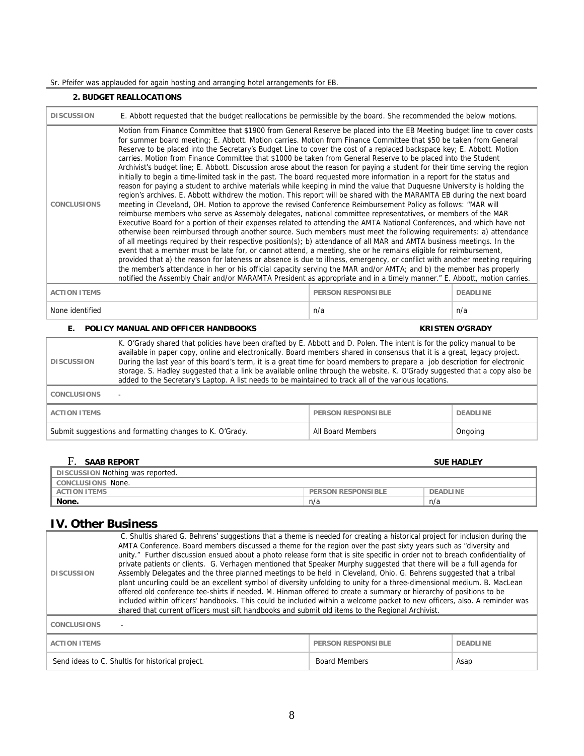## Sr. Pfeifer was applauded for again hosting and arranging hotel arrangements for EB.

### **2. BUDGET REALLOCATIONS**

| <b>DISCUSSION</b>                                                                                                                                                                                                                                                                                                                                                                                                                                                                                                                                                                                                                                                                                                                                                                                                                                                                                                                                                                                                                                                                                                                                                                                                                                                                                                                                                                                                                                                                                                                                                                                                                                                                                                                                                                                                                                                                                                                                                                                                                                                                                                                                | E. Abbott requested that the budget reallocations be permissible by the board. She recommended the below motions.                                                                                                                                                                                                                                                                                                                                                                                                                                                                                                         |                           |                        |  |
|--------------------------------------------------------------------------------------------------------------------------------------------------------------------------------------------------------------------------------------------------------------------------------------------------------------------------------------------------------------------------------------------------------------------------------------------------------------------------------------------------------------------------------------------------------------------------------------------------------------------------------------------------------------------------------------------------------------------------------------------------------------------------------------------------------------------------------------------------------------------------------------------------------------------------------------------------------------------------------------------------------------------------------------------------------------------------------------------------------------------------------------------------------------------------------------------------------------------------------------------------------------------------------------------------------------------------------------------------------------------------------------------------------------------------------------------------------------------------------------------------------------------------------------------------------------------------------------------------------------------------------------------------------------------------------------------------------------------------------------------------------------------------------------------------------------------------------------------------------------------------------------------------------------------------------------------------------------------------------------------------------------------------------------------------------------------------------------------------------------------------------------------------|---------------------------------------------------------------------------------------------------------------------------------------------------------------------------------------------------------------------------------------------------------------------------------------------------------------------------------------------------------------------------------------------------------------------------------------------------------------------------------------------------------------------------------------------------------------------------------------------------------------------------|---------------------------|------------------------|--|
| Motion from Finance Committee that \$1900 from General Reserve be placed into the EB Meeting budget line to cover costs<br>for summer board meeting; E. Abbott. Motion carries. Motion from Finance Committee that \$50 be taken from General<br>Reserve to be placed into the Secretary's Budget Line to cover the cost of a replaced backspace key; E. Abbott. Motion<br>carries. Motion from Finance Committee that \$1000 be taken from General Reserve to be placed into the Student<br>Archivist's budget line; E. Abbott. Discussion arose about the reason for paying a student for their time serving the region<br>initially to begin a time-limited task in the past. The board requested more information in a report for the status and<br>reason for paying a student to archive materials while keeping in mind the value that Duquesne University is holding the<br>region's archives. E. Abbott withdrew the motion. This report will be shared with the MARAMTA EB during the next board<br>meeting in Cleveland, OH. Motion to approve the revised Conference Reimbursement Policy as follows: "MAR will<br><b>CONCLUSIONS</b><br>reimburse members who serve as Assembly delegates, national committee representatives, or members of the MAR<br>Executive Board for a portion of their expenses related to attending the AMTA National Conferences, and which have not<br>otherwise been reimbursed through another source. Such members must meet the following requirements: a) attendance<br>of all meetings required by their respective position(s); b) attendance of all MAR and AMTA business meetings. In the<br>event that a member must be late for, or cannot attend, a meeting, she or he remains eligible for reimbursement,<br>provided that a) the reason for lateness or absence is due to illness, emergency, or conflict with another meeting requiring<br>the member's attendance in her or his official capacity serving the MAR and/or AMTA; and b) the member has properly<br>notified the Assembly Chair and/or MARAMTA President as appropriate and in a timely manner." E. Abbott, motion carries. |                                                                                                                                                                                                                                                                                                                                                                                                                                                                                                                                                                                                                           |                           |                        |  |
| <b>ACTION ITEMS</b>                                                                                                                                                                                                                                                                                                                                                                                                                                                                                                                                                                                                                                                                                                                                                                                                                                                                                                                                                                                                                                                                                                                                                                                                                                                                                                                                                                                                                                                                                                                                                                                                                                                                                                                                                                                                                                                                                                                                                                                                                                                                                                                              |                                                                                                                                                                                                                                                                                                                                                                                                                                                                                                                                                                                                                           | <b>PERSON RESPONSIBLE</b> | <b>DEADLINE</b>        |  |
| None identified                                                                                                                                                                                                                                                                                                                                                                                                                                                                                                                                                                                                                                                                                                                                                                                                                                                                                                                                                                                                                                                                                                                                                                                                                                                                                                                                                                                                                                                                                                                                                                                                                                                                                                                                                                                                                                                                                                                                                                                                                                                                                                                                  |                                                                                                                                                                                                                                                                                                                                                                                                                                                                                                                                                                                                                           | n/a                       | n/a                    |  |
| Е.                                                                                                                                                                                                                                                                                                                                                                                                                                                                                                                                                                                                                                                                                                                                                                                                                                                                                                                                                                                                                                                                                                                                                                                                                                                                                                                                                                                                                                                                                                                                                                                                                                                                                                                                                                                                                                                                                                                                                                                                                                                                                                                                               | POLICY MANUAL AND OFFICER HANDBOOKS                                                                                                                                                                                                                                                                                                                                                                                                                                                                                                                                                                                       |                           | <b>KRISTEN O'GRADY</b> |  |
| <b>DISCUSSION</b>                                                                                                                                                                                                                                                                                                                                                                                                                                                                                                                                                                                                                                                                                                                                                                                                                                                                                                                                                                                                                                                                                                                                                                                                                                                                                                                                                                                                                                                                                                                                                                                                                                                                                                                                                                                                                                                                                                                                                                                                                                                                                                                                | K. O'Grady shared that policies have been drafted by E. Abbott and D. Polen. The intent is for the policy manual to be<br>available in paper copy, online and electronically. Board members shared in consensus that it is a great, legacy project.<br>During the last year of this board's term, it is a great time for board members to prepare a job description for electronic<br>storage. S. Hadley suggested that a link be available online through the website. K. O'Grady suggested that a copy also be<br>added to the Secretary's Laptop. A list needs to be maintained to track all of the various locations. |                           |                        |  |
| <b>CONCLUSIONS</b>                                                                                                                                                                                                                                                                                                                                                                                                                                                                                                                                                                                                                                                                                                                                                                                                                                                                                                                                                                                                                                                                                                                                                                                                                                                                                                                                                                                                                                                                                                                                                                                                                                                                                                                                                                                                                                                                                                                                                                                                                                                                                                                               |                                                                                                                                                                                                                                                                                                                                                                                                                                                                                                                                                                                                                           |                           |                        |  |
| <b>ACTION ITEMS</b>                                                                                                                                                                                                                                                                                                                                                                                                                                                                                                                                                                                                                                                                                                                                                                                                                                                                                                                                                                                                                                                                                                                                                                                                                                                                                                                                                                                                                                                                                                                                                                                                                                                                                                                                                                                                                                                                                                                                                                                                                                                                                                                              |                                                                                                                                                                                                                                                                                                                                                                                                                                                                                                                                                                                                                           | <b>PERSON RESPONSIBLE</b> | <b>DEADLINE</b>        |  |
|                                                                                                                                                                                                                                                                                                                                                                                                                                                                                                                                                                                                                                                                                                                                                                                                                                                                                                                                                                                                                                                                                                                                                                                                                                                                                                                                                                                                                                                                                                                                                                                                                                                                                                                                                                                                                                                                                                                                                                                                                                                                                                                                                  | Submit suggestions and formatting changes to K. O'Grady.                                                                                                                                                                                                                                                                                                                                                                                                                                                                                                                                                                  | <b>All Board Members</b>  | Ongoing                |  |
| F. SAAB REPORT                                                                                                                                                                                                                                                                                                                                                                                                                                                                                                                                                                                                                                                                                                                                                                                                                                                                                                                                                                                                                                                                                                                                                                                                                                                                                                                                                                                                                                                                                                                                                                                                                                                                                                                                                                                                                                                                                                                                                                                                                                                                                                                                   |                                                                                                                                                                                                                                                                                                                                                                                                                                                                                                                                                                                                                           |                           | <b>SUE HADLEY</b>      |  |

| .                                |                           | ----------      |
|----------------------------------|---------------------------|-----------------|
| DISCUSSION Nothing was reported. |                           |                 |
| CONCLUSIONS None.                |                           |                 |
| <b>ACTION ITEMS</b>              | <b>PERSON RESPONSIBLE</b> | <b>DEADLINE</b> |
| None.                            | n/a                       | n/a             |

# **IV. Other Business**

| <b>DISCUSSION</b>   | C. Shultis shared G. Behrens' suggestions that a theme is needed for creating a historical project for inclusion during the<br>AMTA Conference. Board members discussed a theme for the region over the past sixty years such as "diversity and<br>unity." Further discussion ensued about a photo release form that is site specific in order not to breach confidentiality of<br>private patients or clients. G. Verhagen mentioned that Speaker Murphy suggested that there will be a full agenda for<br>Assembly Delegates and the three planned meetings to be held in Cleveland, Ohio. G. Behrens suggested that a tribal<br>plant uncurling could be an excellent symbol of diversity unfolding to unity for a three-dimensional medium. B. MacLean<br>offered old conference tee-shirts if needed. M. Hinman offered to create a summary or hierarchy of positions to be<br>included within officers' handbooks. This could be included within a welcome packet to new officers, also. A reminder was<br>shared that current officers must sift handbooks and submit old items to the Regional Archivist. |                           |                 |  |
|---------------------|-------------------------------------------------------------------------------------------------------------------------------------------------------------------------------------------------------------------------------------------------------------------------------------------------------------------------------------------------------------------------------------------------------------------------------------------------------------------------------------------------------------------------------------------------------------------------------------------------------------------------------------------------------------------------------------------------------------------------------------------------------------------------------------------------------------------------------------------------------------------------------------------------------------------------------------------------------------------------------------------------------------------------------------------------------------------------------------------------------------------|---------------------------|-----------------|--|
| <b>CONCLUSIONS</b>  |                                                                                                                                                                                                                                                                                                                                                                                                                                                                                                                                                                                                                                                                                                                                                                                                                                                                                                                                                                                                                                                                                                                   |                           |                 |  |
| <b>ACTION ITEMS</b> |                                                                                                                                                                                                                                                                                                                                                                                                                                                                                                                                                                                                                                                                                                                                                                                                                                                                                                                                                                                                                                                                                                                   | <b>PERSON RESPONSIBLE</b> | <b>DEADLINE</b> |  |
|                     | Send ideas to C. Shultis for historical project.                                                                                                                                                                                                                                                                                                                                                                                                                                                                                                                                                                                                                                                                                                                                                                                                                                                                                                                                                                                                                                                                  | <b>Board Members</b>      | Asap            |  |